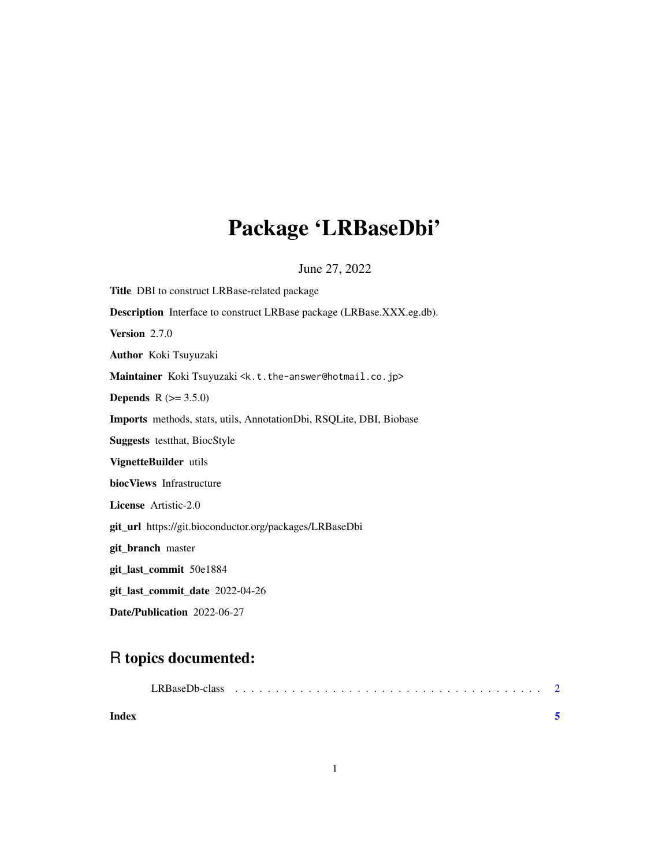## Package 'LRBaseDbi'

June 27, 2022

<span id="page-0-0"></span>Title DBI to construct LRBase-related package Description Interface to construct LRBase package (LRBase.XXX.eg.db). Version 2.7.0 Author Koki Tsuyuzaki Maintainer Koki Tsuyuzaki <k.t.the-answer@hotmail.co.jp> **Depends** R  $(>= 3.5.0)$ Imports methods, stats, utils, AnnotationDbi, RSQLite, DBI, Biobase Suggests testthat, BiocStyle VignetteBuilder utils biocViews Infrastructure License Artistic-2.0 git\_url https://git.bioconductor.org/packages/LRBaseDbi git\_branch master git\_last\_commit 50e1884 git\_last\_commit\_date 2022-04-26 Date/Publication 2022-06-27

### R topics documented:

| Index |  |  |  |  |  |  |  |  |  |  |  |  |
|-------|--|--|--|--|--|--|--|--|--|--|--|--|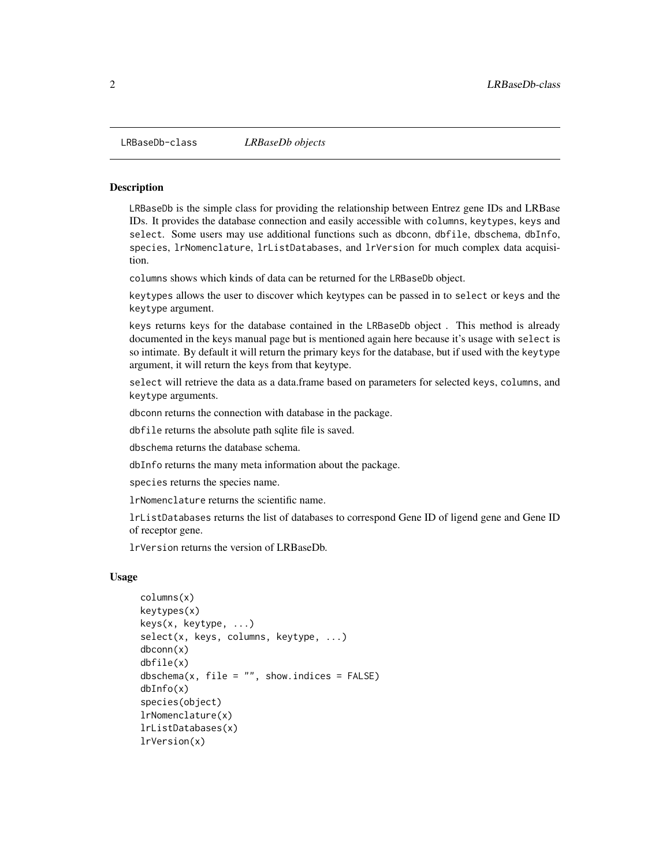<span id="page-1-0"></span>

#### **Description**

LRBaseDb is the simple class for providing the relationship between Entrez gene IDs and LRBase IDs. It provides the database connection and easily accessible with columns, keytypes, keys and select. Some users may use additional functions such as dbconn, dbfile, dbschema, dbInfo, species, lrNomenclature, lrListDatabases, and lrVersion for much complex data acquisition.

columns shows which kinds of data can be returned for the LRBaseDb object.

keytypes allows the user to discover which keytypes can be passed in to select or keys and the keytype argument.

keys returns keys for the database contained in the LRBaseDb object . This method is already documented in the keys manual page but is mentioned again here because it's usage with select is so intimate. By default it will return the primary keys for the database, but if used with the keytype argument, it will return the keys from that keytype.

select will retrieve the data as a data.frame based on parameters for selected keys, columns, and keytype arguments.

dbconn returns the connection with database in the package.

dbfile returns the absolute path sqlite file is saved.

dbschema returns the database schema.

dbInfo returns the many meta information about the package.

species returns the species name.

lrNomenclature returns the scientific name.

lrListDatabases returns the list of databases to correspond Gene ID of ligend gene and Gene ID of receptor gene.

lrVersion returns the version of LRBaseDb.

#### Usage

```
columns(x)
keytypes(x)
keys(x, keytype, ...)
select(x, keys, columns, keytype, ...)
dbconn(x)
dbfile(x)
dbschema(x, file = ", show.indices = FALSE)
dbInfo(x)
species(object)
lrNomenclature(x)
lrListDatabases(x)
lrVersion(x)
```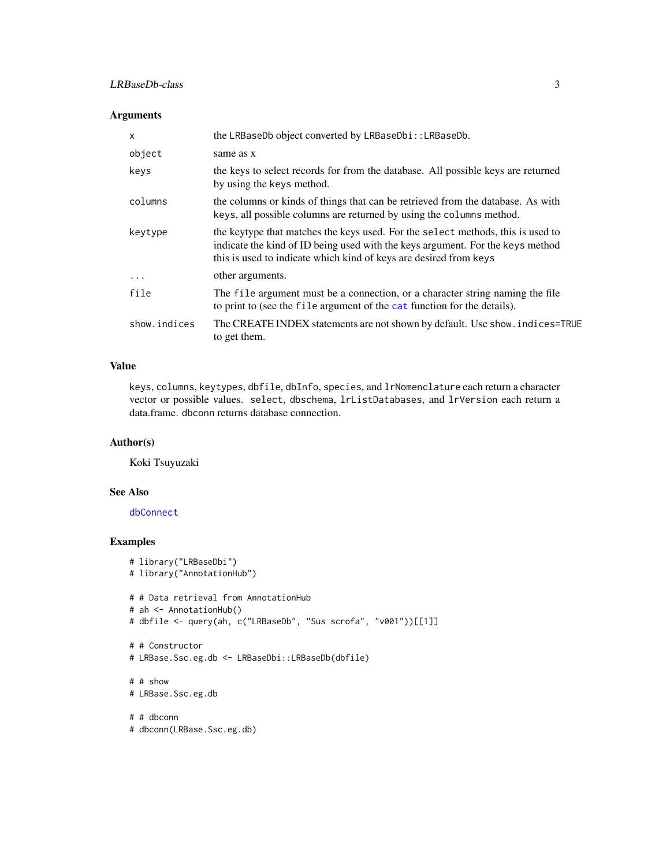#### <span id="page-2-0"></span>LRBaseDb-class 3

#### Arguments

| $\mathsf{x}$ | the LRBaseDb object converted by LRBaseDbi:: LRBaseDb.                                                                                                                                                                                 |
|--------------|----------------------------------------------------------------------------------------------------------------------------------------------------------------------------------------------------------------------------------------|
| object       | same as x                                                                                                                                                                                                                              |
| keys         | the keys to select records for from the database. All possible keys are returned<br>by using the keys method.                                                                                                                          |
| columns      | the columns or kinds of things that can be retrieved from the database. As with<br>keys, all possible columns are returned by using the columns method.                                                                                |
| keytype      | the keytype that matches the keys used. For the select methods, this is used to<br>indicate the kind of ID being used with the keys argument. For the keys method<br>this is used to indicate which kind of keys are desired from keys |
| $\ddots$ .   | other arguments.                                                                                                                                                                                                                       |
| file         | The file argument must be a connection, or a character string naming the file<br>to print to (see the file argument of the cat function for the details).                                                                              |
| show.indices | The CREATE INDEX statements are not shown by default. Use show. indices=TRUE<br>to get them.                                                                                                                                           |

#### Value

keys, columns, keytypes, dbfile, dbInfo, species, and lrNomenclature each return a character vector or possible values. select, dbschema, lrListDatabases, and lrVersion each return a data.frame. dbconn returns database connection.

#### Author(s)

Koki Tsuyuzaki

#### See Also

[dbConnect](#page-0-0)

#### Examples

```
# library("LRBaseDbi")
# library("AnnotationHub")
# # Data retrieval from AnnotationHub
# ah <- AnnotationHub()
# dbfile <- query(ah, c("LRBaseDb", "Sus scrofa", "v001"))[[1]]
# # Constructor
# LRBase.Ssc.eg.db <- LRBaseDbi::LRBaseDb(dbfile)
# # show
# LRBase.Ssc.eg.db
# # dbconn
```

```
# dbconn(LRBase.Ssc.eg.db)
```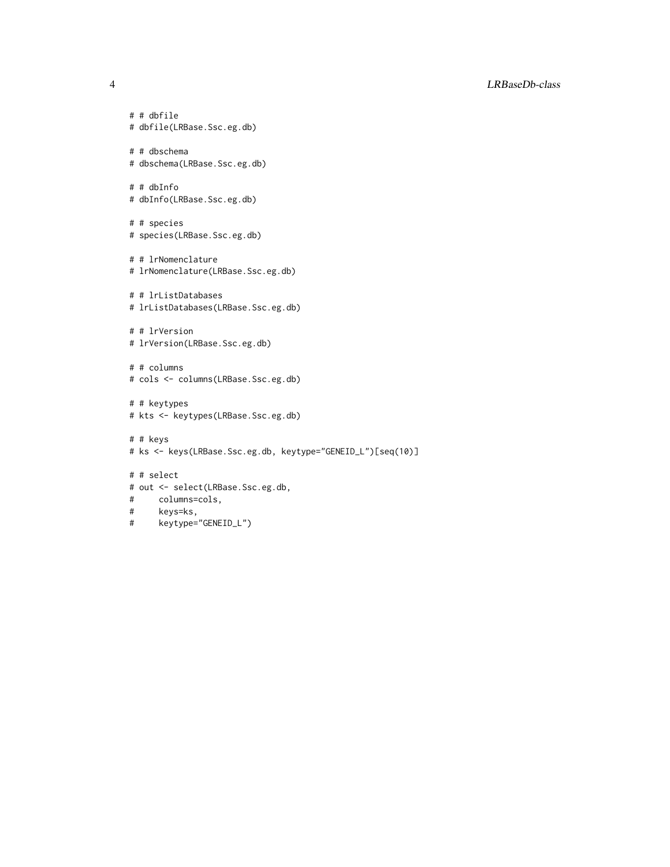#### 4 LRBaseDb-class

# # dbfile # dbfile(LRBase.Ssc.eg.db) # # dbschema # dbschema(LRBase.Ssc.eg.db) # # dbInfo # dbInfo(LRBase.Ssc.eg.db) # # species # species(LRBase.Ssc.eg.db) # # lrNomenclature # lrNomenclature(LRBase.Ssc.eg.db) # # lrListDatabases # lrListDatabases(LRBase.Ssc.eg.db) # # lrVersion # lrVersion(LRBase.Ssc.eg.db) # # columns # cols <- columns(LRBase.Ssc.eg.db) # # keytypes # kts <- keytypes(LRBase.Ssc.eg.db) # # keys # ks <- keys(LRBase.Ssc.eg.db, keytype="GENEID\_L")[seq(10)] # # select # out <- select(LRBase.Ssc.eg.db, # columns=cols,

- # keys=ks,
- # keytype="GENEID\_L")